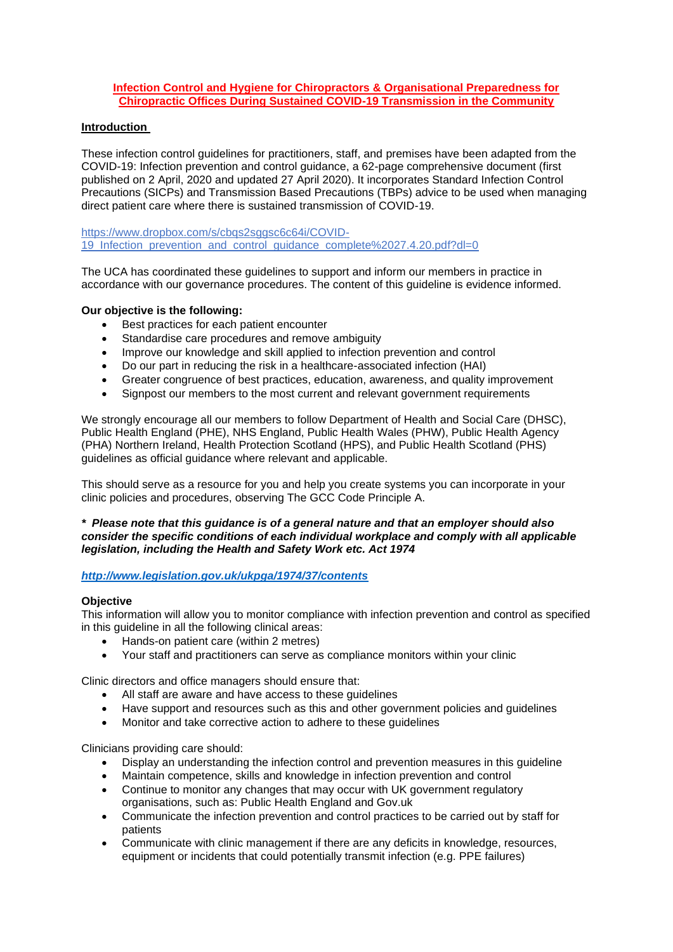### **Infection Control and Hygiene for Chiropractors & Organisational Preparedness for Chiropractic Offices During Sustained COVID-19 Transmission in the Community**

# **Introduction**

These infection control guidelines for practitioners, staff, and premises have been adapted from the COVID-19: Infection prevention and control guidance, a 62-page comprehensive document (first published on 2 April, 2020 and updated 27 April 2020). It incorporates Standard Infection Control Precautions (SICPs) and Transmission Based Precautions (TBPs) advice to be used when managing direct patient care where there is sustained transmission of COVID-19.

https://www.dropbox.com/s/cbas2sggsc6c64i/COVID-19\_Infection\_prevention\_and\_control\_guidance\_complete%2027.4.20.pdf?dl=0

The UCA has coordinated these guidelines to support and inform our members in practice in accordance with our governance procedures. The content of this guideline is evidence informed.

## **Our objective is the following:**

- Best practices for each patient encounter
- Standardise care procedures and remove ambiguity
- Improve our knowledge and skill applied to infection prevention and control
- Do our part in reducing the risk in a healthcare-associated infection (HAI)
- Greater congruence of best practices, education, awareness, and quality improvement
- Signpost our members to the most current and relevant government requirements

We strongly encourage all our members to follow Department of Health and Social Care (DHSC), Public Health England (PHE), NHS England, Public Health Wales (PHW), Public Health Agency (PHA) Northern Ireland, Health Protection Scotland (HPS), and Public Health Scotland (PHS) guidelines as official guidance where relevant and applicable.

This should serve as a resource for you and help you create systems you can incorporate in your clinic policies and procedures, observing The GCC Code Principle A.

### *\* Please note that this guidance is of a general nature and that an employer should also consider the specific conditions of each individual workplace and comply with all applicable legislation, including the Health and Safety Work etc. Act 1974*

### *<http://www.legislation.gov.uk/ukpga/1974/37/contents>*

### **Objective**

This information will allow you to monitor compliance with infection prevention and control as specified in this guideline in all the following clinical areas:

- Hands-on patient care (within 2 metres)
- Your staff and practitioners can serve as compliance monitors within your clinic

Clinic directors and office managers should ensure that:

- All staff are aware and have access to these guidelines
- Have support and resources such as this and other government policies and guidelines
- Monitor and take corrective action to adhere to these guidelines

Clinicians providing care should:

- Display an understanding the infection control and prevention measures in this guideline
- Maintain competence, skills and knowledge in infection prevention and control
- Continue to monitor any changes that may occur with UK government regulatory organisations, such as: Public Health England and Gov.uk
- Communicate the infection prevention and control practices to be carried out by staff for patients
- Communicate with clinic management if there are any deficits in knowledge, resources, equipment or incidents that could potentially transmit infection (e.g. PPE failures)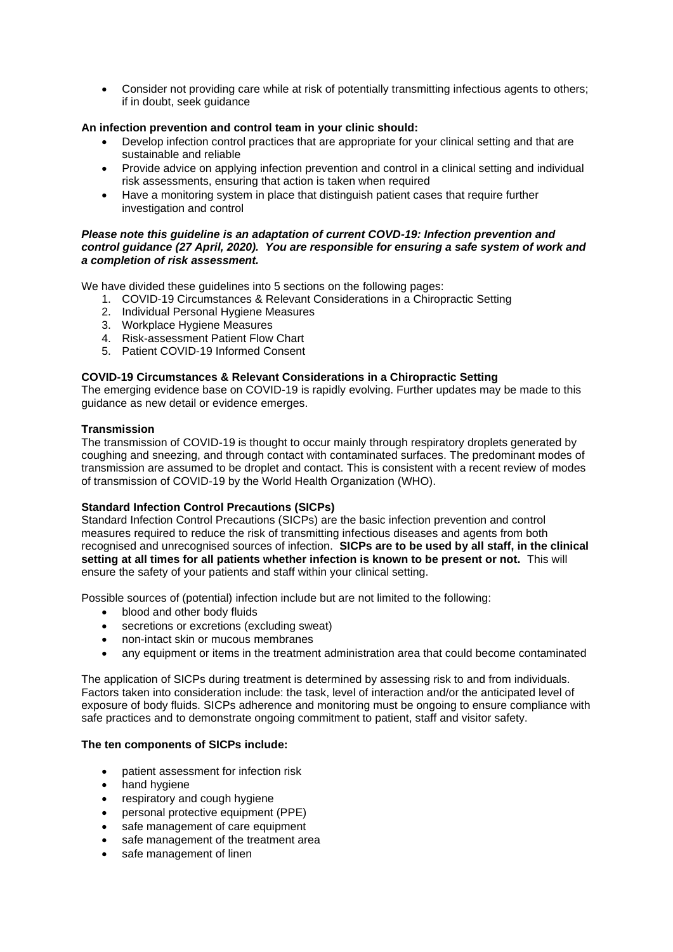• Consider not providing care while at risk of potentially transmitting infectious agents to others; if in doubt, seek guidance

## **An infection prevention and control team in your clinic should:**

- Develop infection control practices that are appropriate for your clinical setting and that are sustainable and reliable
- Provide advice on applying infection prevention and control in a clinical setting and individual risk assessments, ensuring that action is taken when required
- Have a monitoring system in place that distinguish patient cases that require further investigation and control

### *Please note this guideline is an adaptation of current COVD-19: Infection prevention and control guidance (27 April, 2020). You are responsible for ensuring a safe system of work and a completion of risk assessment.*

We have divided these guidelines into 5 sections on the following pages:

- 1. COVID-19 Circumstances & Relevant Considerations in a Chiropractic Setting
- 2. Individual Personal Hygiene Measures
- 3. Workplace Hygiene Measures
- 4. Risk-assessment Patient Flow Chart
- 5. Patient COVID-19 Informed Consent

### **COVID-19 Circumstances & Relevant Considerations in a Chiropractic Setting**

The emerging evidence base on COVID-19 is rapidly evolving. Further updates may be made to this guidance as new detail or evidence emerges.

### **Transmission**

The transmission of COVID-19 is thought to occur mainly through respiratory droplets generated by coughing and sneezing, and through contact with contaminated surfaces. The predominant modes of transmission are assumed to be droplet and contact. This is consistent with a recent review of modes of transmission of COVID-19 by the World Health Organization (WHO).

## **Standard Infection Control Precautions (SICPs)**

Standard Infection Control Precautions (SICPs) are the basic infection prevention and control measures required to reduce the risk of transmitting infectious diseases and agents from both recognised and unrecognised sources of infection. **SICPs are to be used by all staff, in the clinical setting at all times for all patients whether infection is known to be present or not.** This will ensure the safety of your patients and staff within your clinical setting.

Possible sources of (potential) infection include but are not limited to the following:

- blood and other body fluids
- secretions or excretions (excluding sweat)
- non-intact skin or mucous membranes
- any equipment or items in the treatment administration area that could become contaminated

The application of SICPs during treatment is determined by assessing risk to and from individuals. Factors taken into consideration include: the task, level of interaction and/or the anticipated level of exposure of body fluids. SICPs adherence and monitoring must be ongoing to ensure compliance with safe practices and to demonstrate ongoing commitment to patient, staff and visitor safety.

### **The ten components of SICPs include:**

- patient assessment for infection risk
- hand hygiene
- respiratory and cough hygiene
- personal protective equipment (PPE)
- safe management of care equipment
- safe management of the treatment area
- safe management of linen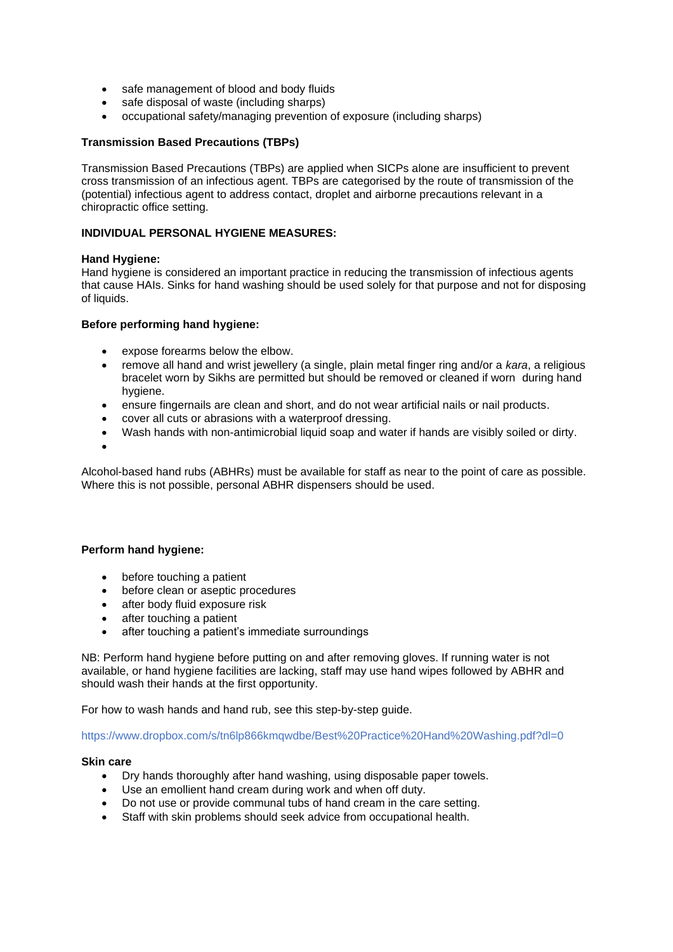- safe management of blood and body fluids
- safe disposal of waste (including sharps)
- occupational safety/managing prevention of exposure (including sharps)

### **Transmission Based Precautions (TBPs)**

Transmission Based Precautions (TBPs) are applied when SICPs alone are insufficient to prevent cross transmission of an infectious agent. TBPs are categorised by the route of transmission of the (potential) infectious agent to address contact, droplet and airborne precautions relevant in a chiropractic office setting.

### **INDIVIDUAL PERSONAL HYGIENE MEASURES:**

### **Hand Hygiene:**

Hand hygiene is considered an important practice in reducing the transmission of infectious agents that cause HAIs. Sinks for hand washing should be used solely for that purpose and not for disposing of liquids.

#### **Before performing hand hygiene:**

- expose forearms below the elbow.
- remove all hand and wrist jewellery (a single, plain metal finger ring and/or a *kara*, a religious bracelet worn by Sikhs are permitted but should be removed or cleaned if worn during hand hygiene.
- ensure fingernails are clean and short, and do not wear artificial nails or nail products.
- cover all cuts or abrasions with a waterproof dressing.
- Wash hands with non-antimicrobial liquid soap and water if hands are visibly soiled or dirty.
- •

Alcohol-based hand rubs (ABHRs) must be available for staff as near to the point of care as possible. Where this is not possible, personal ABHR dispensers should be used.

### **Perform hand hygiene:**

- before touching a patient
- before clean or aseptic procedures
- after body fluid exposure risk
- after touching a patient
- after touching a patient's immediate surroundings

NB: Perform hand hygiene before putting on and after removing gloves. If running water is not available, or hand hygiene facilities are lacking, staff may use hand wipes followed by ABHR and should wash their hands at the first opportunity.

For how to wash hands and hand rub, see this step-by-step guide.

https://www.dropbox.com/s/tn6lp866kmqwdbe/Best%20Practice%20Hand%20Washing.pdf?dl=0

### **Skin care**

- Dry hands thoroughly after hand washing, using disposable paper towels.
- Use an emollient hand cream during work and when off duty.
- Do not use or provide communal tubs of hand cream in the care setting.
- Staff with skin problems should seek advice from occupational health.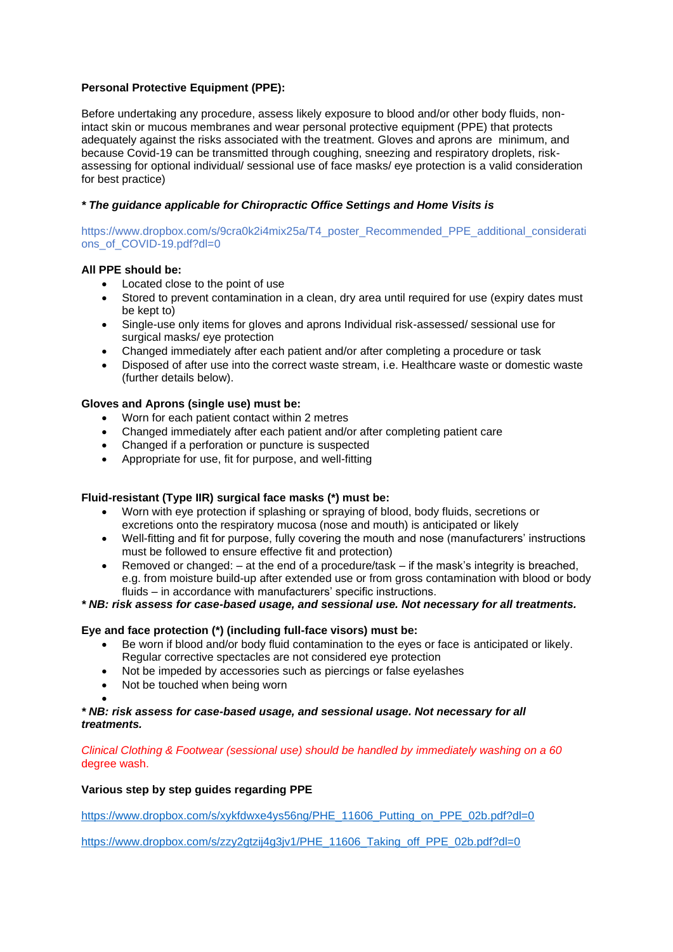# **Personal Protective Equipment (PPE):**

Before undertaking any procedure, assess likely exposure to blood and/or other body fluids, nonintact skin or mucous membranes and wear personal protective equipment (PPE) that protects adequately against the risks associated with the treatment. Gloves and aprons are minimum, and because Covid-19 can be transmitted through coughing, sneezing and respiratory droplets, riskassessing for optional individual/ sessional use of face masks/ eye protection is a valid consideration for best practice)

# *\* The guidance applicable for Chiropractic Office Settings and Home Visits is*

https://www.dropbox.com/s/9cra0k2i4mix25a/T4\_poster\_Recommended\_PPE\_additional\_considerati ons\_of\_COVID-19.pdf?dl=0

# **All PPE should be:**

- Located close to the point of use
- Stored to prevent contamination in a clean, dry area until required for use (expiry dates must be kept to)
- Single-use only items for gloves and aprons Individual risk-assessed/ sessional use for surgical masks/ eye protection
- Changed immediately after each patient and/or after completing a procedure or task
- Disposed of after use into the correct waste stream, i.e. Healthcare waste or domestic waste (further details below).

# **Gloves and Aprons (single use) must be:**

- Worn for each patient contact within 2 metres
- Changed immediately after each patient and/or after completing patient care
- Changed if a perforation or puncture is suspected
- Appropriate for use, fit for purpose, and well-fitting

## **Fluid-resistant (Type IIR) surgical face masks (\*) must be:**

- Worn with eye protection if splashing or spraying of blood, body fluids, secretions or excretions onto the respiratory mucosa (nose and mouth) is anticipated or likely
- Well-fitting and fit for purpose, fully covering the mouth and nose (manufacturers' instructions must be followed to ensure effective fit and protection)
- Removed or changed: at the end of a procedure/task if the mask's integrity is breached, e.g. from moisture build-up after extended use or from gross contamination with blood or body fluids – in accordance with manufacturers' specific instructions.

## *\* NB: risk assess for case-based usage, and sessional use. Not necessary for all treatments.*

## **Eye and face protection (\*) (including full-face visors) must be:**

- Be worn if blood and/or body fluid contamination to the eyes or face is anticipated or likely. Regular corrective spectacles are not considered eye protection
- Not be impeded by accessories such as piercings or false eyelashes
- Not be touched when being worn

•

## *\* NB: risk assess for case-based usage, and sessional usage. Not necessary for all treatments.*

*Clinical Clothing & Footwear (sessional use) should be handled by immediately washing on a 60* degree wash.

## **Various step by step guides regarding PPE**

[https://www.dropbox.com/s/xykfdwxe4ys56ng/PHE\\_11606\\_Putting\\_on\\_PPE\\_02b.pdf?dl=0](https://www.dropbox.com/s/xykfdwxe4ys56ng/PHE_11606_Putting_on_PPE_02b.pdf?dl=0)

[https://www.dropbox.com/s/zzy2gtzij4g3jv1/PHE\\_11606\\_Taking\\_off\\_PPE\\_02b.pdf?dl=0](https://www.dropbox.com/s/zzy2gtzij4g3jv1/PHE_11606_Taking_off_PPE_02b.pdf?dl=0)